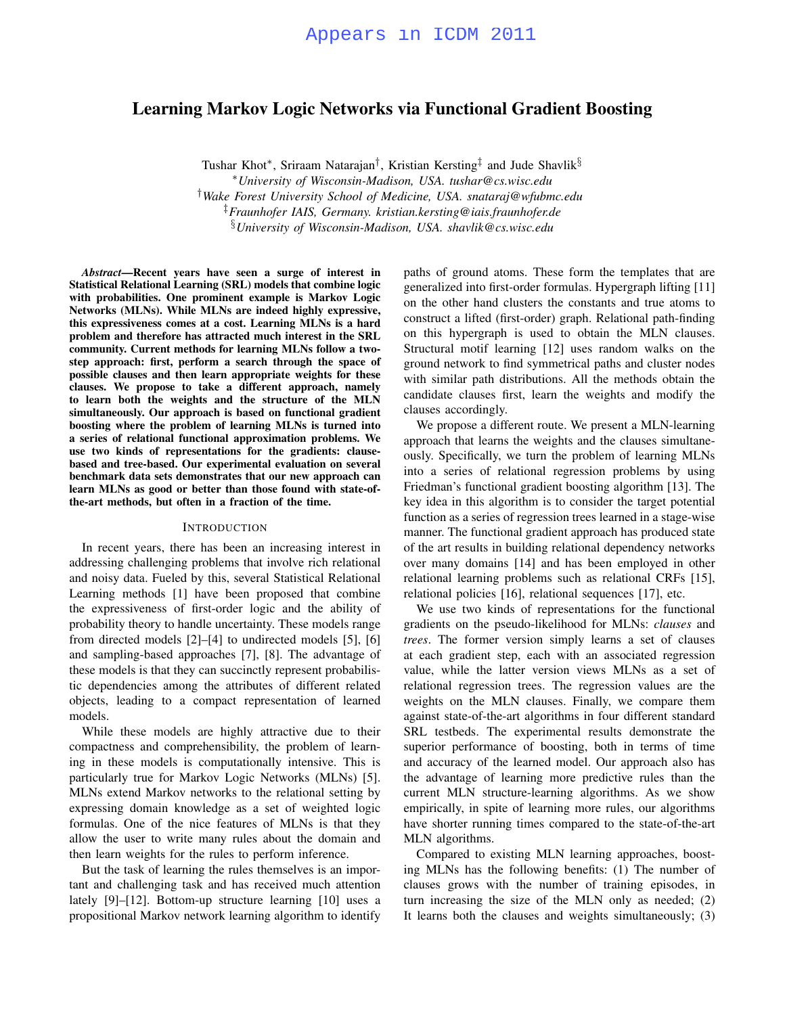# Learning Markov Logic Networks via Functional Gradient Boosting

Tushar Khot\*, Sriraam Natarajan<sup>†</sup>, Kristian Kersting<sup>‡</sup> and Jude Shavlik<sup>§</sup> <sup>∗</sup>*University of Wisconsin-Madison, USA. tushar@cs.wisc.edu* †*Wake Forest University School of Medicine, USA. snataraj@wfubmc.edu* ‡*Fraunhofer IAIS, Germany. kristian.kersting@iais.fraunhofer.de* §*University of Wisconsin-Madison, USA. shavlik@cs.wisc.edu*

*Abstract*—Recent years have seen a surge of interest in Statistical Relational Learning (SRL) models that combine logic with probabilities. One prominent example is Markov Logic Networks (MLNs). While MLNs are indeed highly expressive, this expressiveness comes at a cost. Learning MLNs is a hard problem and therefore has attracted much interest in the SRL community. Current methods for learning MLNs follow a twostep approach: first, perform a search through the space of possible clauses and then learn appropriate weights for these clauses. We propose to take a different approach, namely to learn both the weights and the structure of the MLN simultaneously. Our approach is based on functional gradient boosting where the problem of learning MLNs is turned into a series of relational functional approximation problems. We use two kinds of representations for the gradients: clausebased and tree-based. Our experimental evaluation on several benchmark data sets demonstrates that our new approach can learn MLNs as good or better than those found with state-ofthe-art methods, but often in a fraction of the time.

#### INTRODUCTION

In recent years, there has been an increasing interest in addressing challenging problems that involve rich relational and noisy data. Fueled by this, several Statistical Relational Learning methods [1] have been proposed that combine the expressiveness of first-order logic and the ability of probability theory to handle uncertainty. These models range from directed models [2]–[4] to undirected models [5], [6] and sampling-based approaches [7], [8]. The advantage of these models is that they can succinctly represent probabilistic dependencies among the attributes of different related objects, leading to a compact representation of learned models.

While these models are highly attractive due to their compactness and comprehensibility, the problem of learning in these models is computationally intensive. This is particularly true for Markov Logic Networks (MLNs) [5]. MLNs extend Markov networks to the relational setting by expressing domain knowledge as a set of weighted logic formulas. One of the nice features of MLNs is that they allow the user to write many rules about the domain and then learn weights for the rules to perform inference.

But the task of learning the rules themselves is an important and challenging task and has received much attention lately [9]–[12]. Bottom-up structure learning [10] uses a propositional Markov network learning algorithm to identify paths of ground atoms. These form the templates that are generalized into first-order formulas. Hypergraph lifting [11] on the other hand clusters the constants and true atoms to construct a lifted (first-order) graph. Relational path-finding on this hypergraph is used to obtain the MLN clauses. Structural motif learning [12] uses random walks on the ground network to find symmetrical paths and cluster nodes with similar path distributions. All the methods obtain the candidate clauses first, learn the weights and modify the clauses accordingly.

We propose a different route. We present a MLN-learning approach that learns the weights and the clauses simultaneously. Specifically, we turn the problem of learning MLNs into a series of relational regression problems by using Friedman's functional gradient boosting algorithm [13]. The key idea in this algorithm is to consider the target potential function as a series of regression trees learned in a stage-wise manner. The functional gradient approach has produced state of the art results in building relational dependency networks over many domains [14] and has been employed in other relational learning problems such as relational CRFs [15], relational policies [16], relational sequences [17], etc.

We use two kinds of representations for the functional gradients on the pseudo-likelihood for MLNs: *clauses* and *trees*. The former version simply learns a set of clauses at each gradient step, each with an associated regression value, while the latter version views MLNs as a set of relational regression trees. The regression values are the weights on the MLN clauses. Finally, we compare them against state-of-the-art algorithms in four different standard SRL testbeds. The experimental results demonstrate the superior performance of boosting, both in terms of time and accuracy of the learned model. Our approach also has the advantage of learning more predictive rules than the current MLN structure-learning algorithms. As we show empirically, in spite of learning more rules, our algorithms have shorter running times compared to the state-of-the-art MLN algorithms.

Compared to existing MLN learning approaches, boosting MLNs has the following benefits: (1) The number of clauses grows with the number of training episodes, in turn increasing the size of the MLN only as needed; (2) It learns both the clauses and weights simultaneously; (3)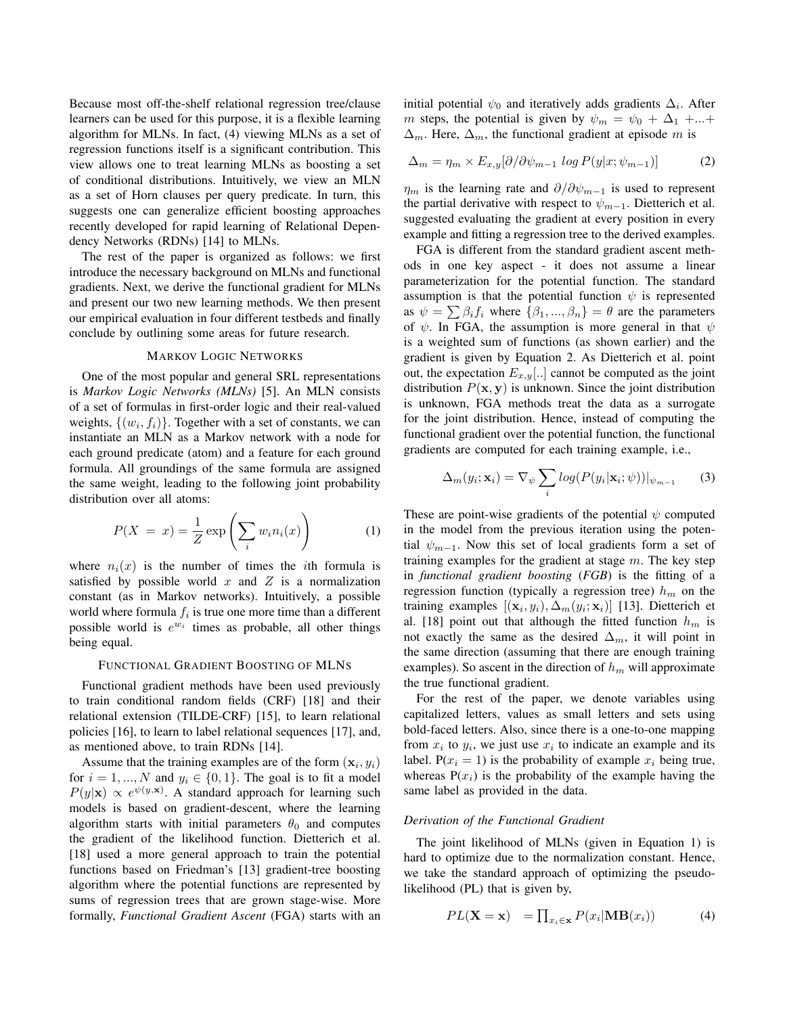Because most off-the-shelf relational regression tree/clause learners can be used for this purpose, it is a flexible learning algorithm for MLNs. In fact, (4) viewing MLNs as a set of regression functions itself is a significant contribution. This view allows one to treat learning MLNs as boosting a set of conditional distributions. Intuitively, we view an MLN as a set of Horn clauses per query predicate. In turn, this suggests one can generalize efficient boosting approaches recently developed for rapid learning of Relational Dependency Networks (RDNs) [14] to MLNs.

The rest of the paper is organized as follows: we first introduce the necessary background on MLNs and functional gradients. Next, we derive the functional gradient for MLNs and present our two new learning methods. We then present our empirical evaluation in four different testbeds and finally conclude by outlining some areas for future research.

# MARKOV LOGIC NETWORKS

One of the most popular and general SRL representations is *Markov Logic Networks (MLNs)* [5]. An MLN consists of a set of formulas in first-order logic and their real-valued weights,  $\{(w_i, f_i)\}\)$ . Together with a set of constants, we can instantiate an MLN as a Markov network with a node for each ground predicate (atom) and a feature for each ground formula. All groundings of the same formula are assigned the same weight, leading to the following joint probability distribution over all atoms:

$$
P(X = x) = \frac{1}{Z} \exp\left(\sum_{i} w_i n_i(x)\right) \tag{1}
$$

where  $n_i(x)$  is the number of times the *i*th formula is satisfied by possible world  $x$  and  $Z$  is a normalization constant (as in Markov networks). Intuitively, a possible world where formula  $f_i$  is true one more time than a different possible world is  $e^{w_i}$  times as probable, all other things being equal.

# FUNCTIONAL GRADIENT BOOSTING OF MLNS

Functional gradient methods have been used previously to train conditional random fields (CRF) [18] and their relational extension (TILDE-CRF) [15], to learn relational policies [16], to learn to label relational sequences [17], and, as mentioned above, to train RDNs [14].

Assume that the training examples are of the form  $(\mathbf{x}_i, y_i)$ for  $i = 1, ..., N$  and  $y_i \in \{0, 1\}$ . The goal is to fit a model  $P(y|\mathbf{x}) \propto e^{\psi(y,\mathbf{x})}$ . A standard approach for learning such models is based on gradient-descent, where the learning algorithm starts with initial parameters  $\theta_0$  and computes the gradient of the likelihood function. Dietterich et al. [18] used a more general approach to train the potential functions based on Friedman's [13] gradient-tree boosting algorithm where the potential functions are represented by sums of regression trees that are grown stage-wise. More formally, *Functional Gradient Ascent* (FGA) starts with an

initial potential  $\psi_0$  and iteratively adds gradients  $\Delta_i$ . After m steps, the potential is given by  $\psi_m = \psi_0 + \Delta_1 + ... +$  $\Delta_m$ . Here,  $\Delta_m$ , the functional gradient at episode m is

$$
\Delta_m = \eta_m \times E_{x,y} [\partial/\partial \psi_{m-1} \log P(y|x; \psi_{m-1})] \tag{2}
$$

 $\eta_m$  is the learning rate and  $\partial/\partial \psi_{m-1}$  is used to represent the partial derivative with respect to  $\psi_{m-1}$ . Dietterich et al. suggested evaluating the gradient at every position in every example and fitting a regression tree to the derived examples.

FGA is different from the standard gradient ascent methods in one key aspect - it does not assume a linear parameterization for the potential function. The standard assumption is that the potential function  $\psi$  is represented as  $\psi = \sum \beta_i f_i$  where  $\{\beta_1, ..., \beta_n\} = \theta$  are the parameters of  $\psi$ . In FGA, the assumption is more general in that  $\psi$ is a weighted sum of functions (as shown earlier) and the gradient is given by Equation 2. As Dietterich et al. point out, the expectation  $E_{x,y}$ [..] cannot be computed as the joint distribution  $P(x, y)$  is unknown. Since the joint distribution is unknown, FGA methods treat the data as a surrogate for the joint distribution. Hence, instead of computing the functional gradient over the potential function, the functional gradients are computed for each training example, i.e.,

$$
\Delta_m(y_i; \mathbf{x}_i) = \nabla_{\psi} \sum_i \log(P(y_i | \mathbf{x}_i; \psi))|_{\psi_{m-1}} \tag{3}
$$

These are point-wise gradients of the potential  $\psi$  computed in the model from the previous iteration using the potential  $\psi_{m-1}$ . Now this set of local gradients form a set of training examples for the gradient at stage  $m$ . The key step in *functional gradient boosting* (*FGB*) is the fitting of a regression function (typically a regression tree)  $h_m$  on the training examples  $[(\mathbf{x}_i, y_i), \Delta_m(y_i; \mathbf{x}_i)]$  [13]. Dietterich et al. [18] point out that although the fitted function  $h_m$  is not exactly the same as the desired  $\Delta_m$ , it will point in the same direction (assuming that there are enough training examples). So ascent in the direction of  $h_m$  will approximate the true functional gradient.

For the rest of the paper, we denote variables using capitalized letters, values as small letters and sets using bold-faced letters. Also, since there is a one-to-one mapping from  $x_i$  to  $y_i$ , we just use  $x_i$  to indicate an example and its label.  $P(x_i = 1)$  is the probability of example  $x_i$  being true, whereas  $P(x_i)$  is the probability of the example having the same label as provided in the data.

#### *Derivation of the Functional Gradient*

The joint likelihood of MLNs (given in Equation 1) is hard to optimize due to the normalization constant. Hence, we take the standard approach of optimizing the pseudolikelihood (PL) that is given by,

$$
PL(\mathbf{X} = \mathbf{x}) = \prod_{x_i \in \mathbf{x}} P(x_i | \mathbf{MB}(x_i))
$$
(4)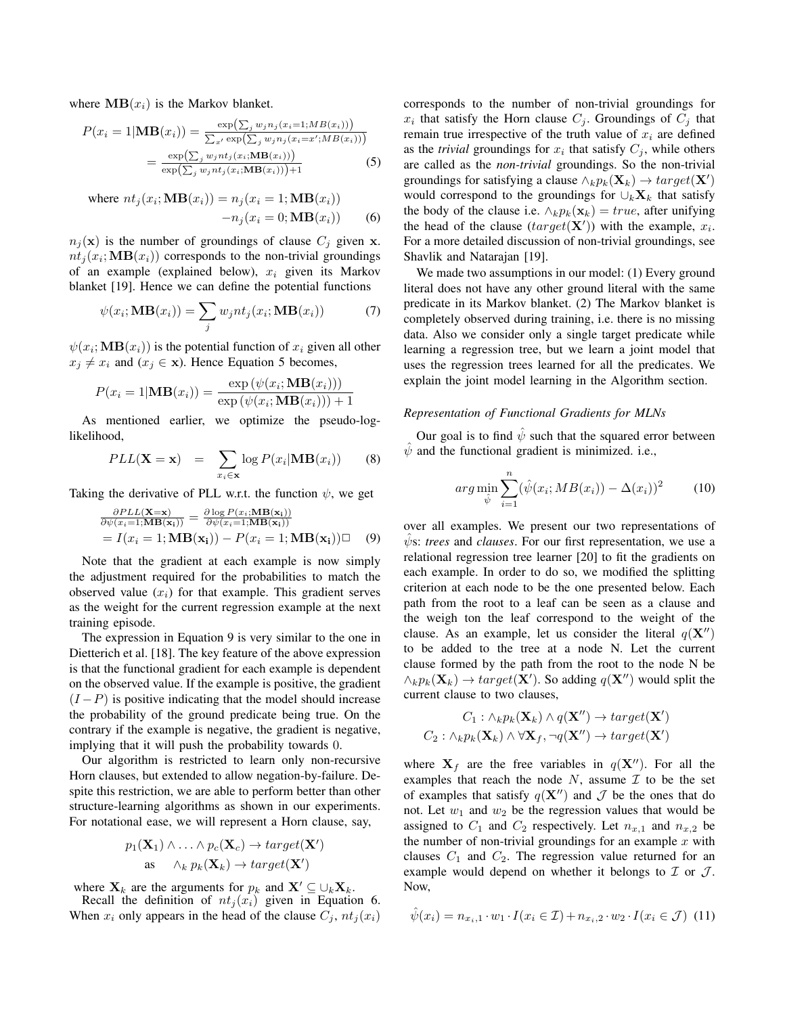where  $MB(x_i)$  is the Markov blanket.

$$
P(x_i = 1 | \mathbf{MB}(x_i)) = \frac{\exp(\sum_j w_j n_j (x_i = 1; MB(x_i)))}{\sum_{x'} \exp(\sum_j w_j n_j (x_i = x'; MB(x_i)))}
$$

$$
= \frac{\exp(\sum_j w_j n t_j (x_i; MB(x_i)))}{\exp(\sum_j w_j n t_j (x_i; MB(x_i))) + 1}
$$
(5)

where 
$$
nt_j(x_i; \mathbf{MB}(x_i)) = n_j(x_i = 1; \mathbf{MB}(x_i))
$$
  

$$
-n_j(x_i = 0; \mathbf{MB}(x_i))
$$
(6)

 $n_i(\mathbf{x})$  is the number of groundings of clause  $C_i$  given x.  $nt_j(x_i; \textbf{MB}(x_i))$  corresponds to the non-trivial groundings of an example (explained below),  $x_i$  given its Markov blanket [19]. Hence we can define the potential functions

$$
\psi(x_i; \mathbf{MB}(x_i)) = \sum_j w_j n t_j(x_i; \mathbf{MB}(x_i)) \tag{7}
$$

 $\psi(x_i; \textbf{MB}(x_i))$  is the potential function of  $x_i$  given all other  $x_j \neq x_i$  and  $(x_j \in \mathbf{x})$ . Hence Equation 5 becomes,

$$
P(x_i = 1 | \mathbf{MB}(x_i)) = \frac{\exp(\psi(x_i; \mathbf{MB}(x_i)))}{\exp(\psi(x_i; \mathbf{MB}(x_i))) + 1}
$$

As mentioned earlier, we optimize the pseudo-loglikelihood,

$$
PLL(\mathbf{X} = \mathbf{x}) = \sum_{x_i \in \mathbf{x}} \log P(x_i | \mathbf{MB}(x_i)) \qquad (8)
$$

Taking the derivative of PLL w.r.t. the function  $\psi$ , we get

$$
\frac{\partial PLL(\mathbf{X}=\mathbf{x})}{\partial \psi(x_i=1;MB(\mathbf{x}_i))} = \frac{\partial \log P(x_i;MB(\mathbf{x}_i))}{\partial \psi(x_i=1;MB(\mathbf{x}_i))}
$$
  
=  $I(x_i = 1;MB(\mathbf{x}_i)) - P(x_i = 1;MB(\mathbf{x}_i)) \square$  (9)

Note that the gradient at each example is now simply the adjustment required for the probabilities to match the observed value  $(x_i)$  for that example. This gradient serves as the weight for the current regression example at the next training episode.

The expression in Equation 9 is very similar to the one in Dietterich et al. [18]. The key feature of the above expression is that the functional gradient for each example is dependent on the observed value. If the example is positive, the gradient  $(I - P)$  is positive indicating that the model should increase the probability of the ground predicate being true. On the contrary if the example is negative, the gradient is negative, implying that it will push the probability towards 0.

Our algorithm is restricted to learn only non-recursive Horn clauses, but extended to allow negation-by-failure. Despite this restriction, we are able to perform better than other structure-learning algorithms as shown in our experiments. For notational ease, we will represent a Horn clause, say,

$$
p_1(\mathbf{X}_1) \wedge \ldots \wedge p_c(\mathbf{X}_c) \rightarrow target(\mathbf{X}')
$$
  
as  $\wedge_k p_k(\mathbf{X}_k) \rightarrow target(\mathbf{X}')$ 

where  $\mathbf{X}_k$  are the arguments for  $p_k$  and  $\mathbf{X}' \subseteq \bigcup_k \mathbf{X}_k$ .

Recall the definition of  $nt_j(x_i)$  given in Equation 6. When  $x_i$  only appears in the head of the clause  $C_j$ ,  $nt_j(x_i)$  corresponds to the number of non-trivial groundings for  $x_i$  that satisfy the Horn clause  $C_j$ . Groundings of  $C_j$  that remain true irrespective of the truth value of  $x_i$  are defined as the *trivial* groundings for  $x_i$  that satisfy  $C_j$ , while others are called as the *non-trivial* groundings. So the non-trivial groundings for satisfying a clause  $\wedge_k p_k(\mathbf{X}_k) \to target(\mathbf{X}')$ would correspond to the groundings for  $\cup_k X_k$  that satisfy the body of the clause i.e.  $\wedge_k p_k(\mathbf{x}_k) = true$ , after unifying the head of the clause  $(target(\mathbf{X}'))$  with the example,  $x_i$ . For a more detailed discussion of non-trivial groundings, see Shavlik and Natarajan [19].

We made two assumptions in our model: (1) Every ground literal does not have any other ground literal with the same predicate in its Markov blanket. (2) The Markov blanket is completely observed during training, i.e. there is no missing data. Also we consider only a single target predicate while learning a regression tree, but we learn a joint model that uses the regression trees learned for all the predicates. We explain the joint model learning in the Algorithm section.

## *Representation of Functional Gradients for MLNs*

Our goal is to find  $\hat{\psi}$  such that the squared error between  $\hat{\psi}$  and the functional gradient is minimized. i.e.,

$$
arg\min_{\hat{\psi}} \sum_{i=1}^{n} (\hat{\psi}(x_i; MB(x_i)) - \Delta(x_i))^2 \tag{10}
$$

over all examples. We present our two representations of  $ψs:$ *trees* and *clauses*. For our first representation, we use a relational regression tree learner [20] to fit the gradients on each example. In order to do so, we modified the splitting criterion at each node to be the one presented below. Each path from the root to a leaf can be seen as a clause and the weigh ton the leaf correspond to the weight of the clause. As an example, let us consider the literal  $q(\mathbf{X}^{\prime\prime})$ to be added to the tree at a node N. Let the current clause formed by the path from the root to the node N be  $\wedge_k p_k(\mathbf{X}_k) \to target(\mathbf{X}')$ . So adding  $q(\mathbf{X}'')$  would split the current clause to two clauses,

$$
C_1: \wedge_k p_k(\mathbf{X}_k) \wedge q(\mathbf{X}'') \to target(\mathbf{X}')
$$
  

$$
C_2: \wedge_k p_k(\mathbf{X}_k) \wedge \forall \mathbf{X}_f, \neg q(\mathbf{X}'') \to target(\mathbf{X}')
$$

where  $X_f$  are the free variables in  $q(X'')$ . For all the examples that reach the node  $N$ , assume  $\mathcal I$  to be the set of examples that satisfy  $q(\mathbf{X}^{\prime\prime})$  and  $\mathcal{J}$  be the ones that do not. Let  $w_1$  and  $w_2$  be the regression values that would be assigned to  $C_1$  and  $C_2$  respectively. Let  $n_{x,1}$  and  $n_{x,2}$  be the number of non-trivial groundings for an example  $x$  with clauses  $C_1$  and  $C_2$ . The regression value returned for an example would depend on whether it belongs to  $\mathcal I$  or  $\mathcal J$ . Now,

$$
\hat{\psi}(x_i) = n_{x_i,1} \cdot w_1 \cdot I(x_i \in \mathcal{I}) + n_{x_i,2} \cdot w_2 \cdot I(x_i \in \mathcal{J}) \tag{11}
$$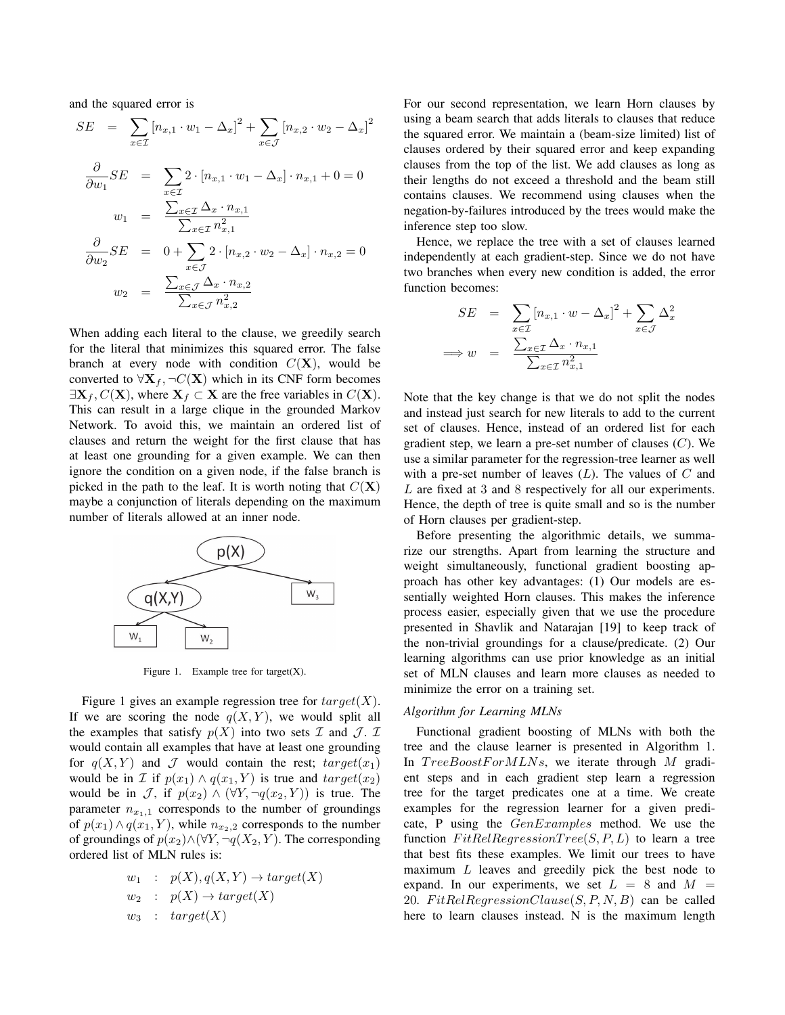and the squared error is

$$
SE = \sum_{x \in \mathcal{I}} [n_{x,1} \cdot w_1 - \Delta_x]^2 + \sum_{x \in \mathcal{J}} [n_{x,2} \cdot w_2 - \Delta_x]^2
$$

$$
\frac{\partial}{\partial w_1} SE = \sum_{x \in \mathcal{I}} 2 \cdot [n_{x,1} \cdot w_1 - \Delta_x] \cdot n_{x,1} + 0 = 0
$$

$$
w_1 = \frac{\sum_{x \in \mathcal{I}} \Delta_x \cdot n_{x,1}}{\sum_{x \in \mathcal{I}} n_{x,1}^2}
$$

$$
\frac{\partial}{\partial w_2} SE = 0 + \sum_{x \in \mathcal{J}} 2 \cdot [n_{x,2} \cdot w_2 - \Delta_x] \cdot n_{x,2} = 0
$$

$$
w_2 = \frac{\sum_{x \in \mathcal{J}} \Delta_x \cdot n_{x,2}}{\sum_{x \in \mathcal{J}} n_{x,2}^2}
$$

When adding each literal to the clause, we greedily search for the literal that minimizes this squared error. The false branch at every node with condition  $C(X)$ , would be converted to  $\forall$ **X**<sub>f</sub>, ¬C(**X**) which in its CNF form becomes  $\exists \mathbf{X}_f, C(\mathbf{X})$ , where  $\mathbf{X}_f \subset \mathbf{X}$  are the free variables in  $C(\mathbf{X})$ . This can result in a large clique in the grounded Markov Network. To avoid this, we maintain an ordered list of clauses and return the weight for the first clause that has at least one grounding for a given example. We can then ignore the condition on a given node, if the false branch is picked in the path to the leaf. It is worth noting that  $C(\mathbf{X})$ maybe a conjunction of literals depending on the maximum number of literals allowed at an inner node.



Figure 1. Example tree for target $(X)$ .

Figure 1 gives an example regression tree for  $target(X)$ . If we are scoring the node  $q(X, Y)$ , we would split all the examples that satisfy  $p(X)$  into two sets  $\mathcal I$  and  $\mathcal J$ .  $\mathcal I$ would contain all examples that have at least one grounding for  $q(X, Y)$  and J would contain the rest;  $target(x_1)$ would be in  $\mathcal I$  if  $p(x_1) \wedge q(x_1, Y)$  is true and  $target(x_2)$ would be in J, if  $p(x_2) \wedge (\forall Y, \neg q(x_2, Y))$  is true. The parameter  $n_{x_1,1}$  corresponds to the number of groundings of  $p(x_1) \wedge q(x_1, Y)$ , while  $n_{x_2,2}$  corresponds to the number of groundings of  $p(x_2) \wedge (\forall Y, \neg q(X_2, Y)$ . The corresponding ordered list of MLN rules is:

$$
w_1 : p(X), q(X, Y) \to target(X)
$$
  
\n
$$
w_2 : p(X) \to target(X)
$$
  
\n
$$
w_3 : target(X)
$$

For our second representation, we learn Horn clauses by using a beam search that adds literals to clauses that reduce the squared error. We maintain a (beam-size limited) list of clauses ordered by their squared error and keep expanding clauses from the top of the list. We add clauses as long as their lengths do not exceed a threshold and the beam still contains clauses. We recommend using clauses when the negation-by-failures introduced by the trees would make the inference step too slow.

Hence, we replace the tree with a set of clauses learned independently at each gradient-step. Since we do not have two branches when every new condition is added, the error function becomes:

$$
SE = \sum_{x \in \mathcal{I}} [n_{x,1} \cdot w - \Delta_x]^2 + \sum_{x \in \mathcal{J}} \Delta_x^2
$$
  

$$
\implies w = \frac{\sum_{x \in \mathcal{I}} \Delta_x \cdot n_{x,1}}{\sum_{x \in \mathcal{I}} n_{x,1}^2}
$$

Note that the key change is that we do not split the nodes and instead just search for new literals to add to the current set of clauses. Hence, instead of an ordered list for each gradient step, we learn a pre-set number of clauses  $(C)$ . We use a similar parameter for the regression-tree learner as well with a pre-set number of leaves  $(L)$ . The values of C and L are fixed at 3 and 8 respectively for all our experiments. Hence, the depth of tree is quite small and so is the number of Horn clauses per gradient-step.

Before presenting the algorithmic details, we summarize our strengths. Apart from learning the structure and weight simultaneously, functional gradient boosting approach has other key advantages: (1) Our models are essentially weighted Horn clauses. This makes the inference process easier, especially given that we use the procedure presented in Shavlik and Natarajan [19] to keep track of the non-trivial groundings for a clause/predicate. (2) Our learning algorithms can use prior knowledge as an initial set of MLN clauses and learn more clauses as needed to minimize the error on a training set.

## *Algorithm for Learning MLNs*

Functional gradient boosting of MLNs with both the tree and the clause learner is presented in Algorithm 1. In  $TreeBoostForMLNs$ , we iterate through M gradient steps and in each gradient step learn a regression tree for the target predicates one at a time. We create examples for the regression learner for a given predicate, P using the GenExamples method. We use the function  $FitRelRegression Tree(S, P, L)$  to learn a tree that best fits these examples. We limit our trees to have maximum L leaves and greedily pick the best node to expand. In our experiments, we set  $L = 8$  and  $M =$ 20. FitRelRegressionClause( $S, P, N, B$ ) can be called here to learn clauses instead. N is the maximum length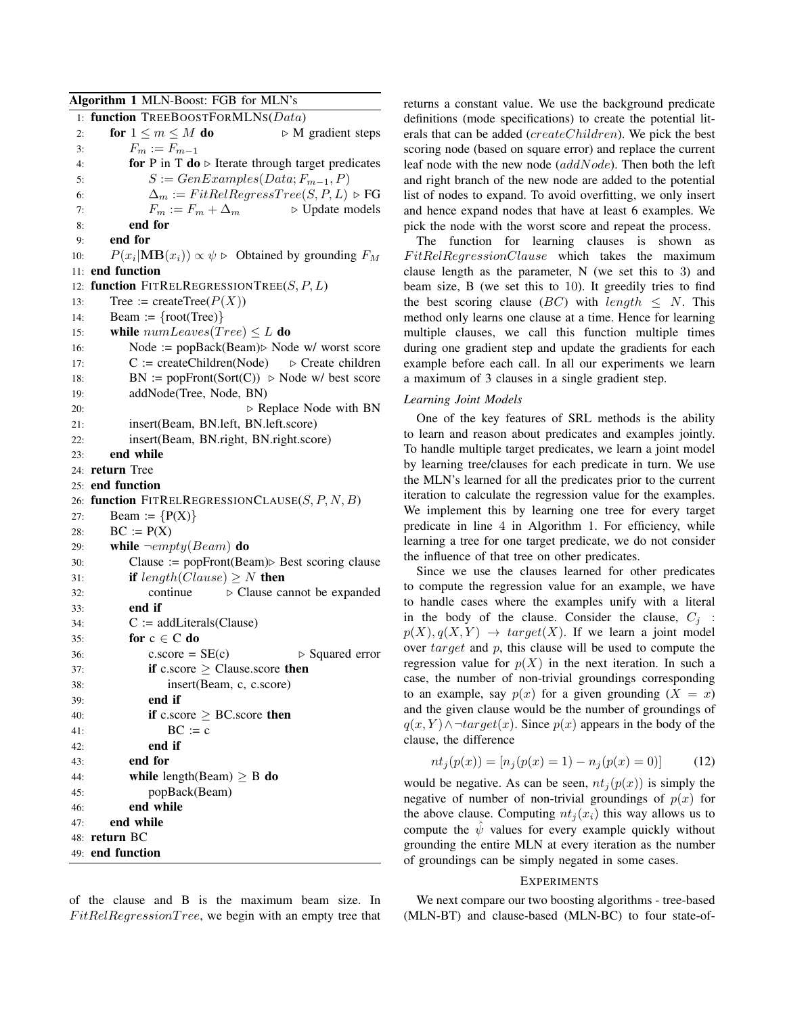Algorithm 1 MLN-Boost: FGB for MLN's 1: function  $TREEBoostFORMLNs(Data)$ 2: for  $1 \le m \le M$  do  $\triangleright$  M gradient steps 3:  $F_m := F_{m-1}$ 4: **for** P in T **do**  $\triangleright$  Iterate through target predicates 5:  $S := GenExamples(Data; F_{m-1}, P)$ 6:  $\Delta_m := FitRelRegressTree(S, P, L) \triangleright FG$ 7:  $F_m := F_m + \Delta_m$  D Update models 8: end for 9: end for 10:  $P(x_i | \mathbf{MB}(x_i)) \propto \psi$   $\triangleright$  Obtained by grounding  $F_M$ 11: end function 12: function FITRELREGRESSIONTREE( $S, P, L$ ) 13: Tree := createTree( $P(X)$ ) 14: Beam :=  $\{root(Tree)\}$ 15: while  $numLeaves(Tree) \leq L$  do 16: Node :=  $popBack(Beam)$  Node w/ worst score 17:  $C := \text{createChildren}(\text{Node}) \Rightarrow \text{Create children}$ 18: BN := popFront(Sort(C))  $\triangleright$  Node w/ best score 19: addNode(Tree, Node, BN) 20:  $\triangleright$  Replace Node with BN 21: insert(Beam, BN.left, BN.left.score) 22: insert(Beam, BN.right, BN.right.score) 23: end while 24: return Tree 25: end function 26: function FITRELREGRESSIONCLAUSE $(S, P, N, B)$ 27: Beam :=  ${P(X)}$ 28:  $BC := P(X)$ 29: while  $\neg empty(Beam)$  do 30: Clause :=  $popFront(Beam)$  Best scoring clause 31: **if**  $length(Clause) \geq N$  **then** 32: continue  $\triangleright$  Clause cannot be expanded 33: end if  $34:$   $C := \text{add Literals}(Clause)$ 35: for  $c \in C$  do 36: c.score =  $SE(c)$   $\triangleright$  Squared error 37: **if** c.score  $\geq$  Clause.score then 38: insert(Beam, c, c.score) 39: end if 40: **if** c.score  $\geq$  BC.score then 41:  $BC := c$ 42: end if 43: end for 44: **while** length(Beam)  $\geq$  B do 45: popBack(Beam) 46: end while 47: end while 48: return BC 49: end function

returns a constant value. We use the background predicate definitions (mode specifications) to create the potential literals that can be added (createChildren). We pick the best scoring node (based on square error) and replace the current leaf node with the new node  $(addNode)$ . Then both the left and right branch of the new node are added to the potential list of nodes to expand. To avoid overfitting, we only insert and hence expand nodes that have at least 6 examples. We pick the node with the worst score and repeat the process.

The function for learning clauses is shown as  $FitRelRegressionClause$  which takes the maximum clause length as the parameter, N (we set this to 3) and beam size, B (we set this to 10). It greedily tries to find the best scoring clause (BC) with length  $\leq N$ . This method only learns one clause at a time. Hence for learning multiple clauses, we call this function multiple times during one gradient step and update the gradients for each example before each call. In all our experiments we learn a maximum of 3 clauses in a single gradient step.

# *Learning Joint Models*

One of the key features of SRL methods is the ability to learn and reason about predicates and examples jointly. To handle multiple target predicates, we learn a joint model by learning tree/clauses for each predicate in turn. We use the MLN's learned for all the predicates prior to the current iteration to calculate the regression value for the examples. We implement this by learning one tree for every target predicate in line 4 in Algorithm 1. For efficiency, while learning a tree for one target predicate, we do not consider the influence of that tree on other predicates.

Since we use the clauses learned for other predicates to compute the regression value for an example, we have to handle cases where the examples unify with a literal in the body of the clause. Consider the clause,  $C_j$  :  $p(X), q(X, Y) \rightarrow target(X)$ . If we learn a joint model over  $target$  and  $p$ , this clause will be used to compute the regression value for  $p(X)$  in the next iteration. In such a case, the number of non-trivial groundings corresponding to an example, say  $p(x)$  for a given grounding  $(X = x)$ and the given clause would be the number of groundings of  $q(x, Y) \wedge \neg target(x)$ . Since  $p(x)$  appears in the body of the clause, the difference

$$
nt_j(p(x)) = [n_j(p(x) = 1) - n_j(p(x) = 0)]
$$
 (12)

would be negative. As can be seen,  $nt_i (p(x))$  is simply the negative of number of non-trivial groundings of  $p(x)$  for the above clause. Computing  $nt_i(x_i)$  this way allows us to compute the  $\psi$  values for every example quickly without grounding the entire MLN at every iteration as the number of groundings can be simply negated in some cases.

#### EXPERIMENTS

We next compare our two boosting algorithms - tree-based (MLN-BT) and clause-based (MLN-BC) to four state-of-

of the clause and B is the maximum beam size. In  $FitRelRegressionTree$ , we begin with an empty tree that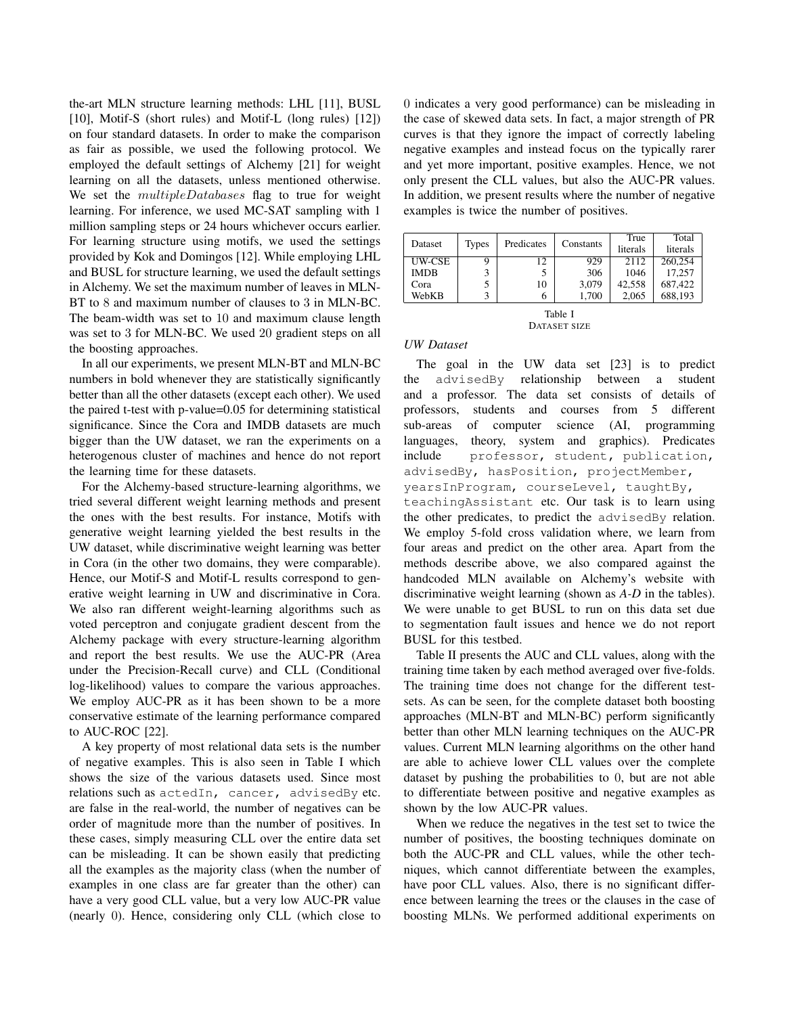the-art MLN structure learning methods: LHL [11], BUSL [10], Motif-S (short rules) and Motif-L (long rules) [12]) on four standard datasets. In order to make the comparison as fair as possible, we used the following protocol. We employed the default settings of Alchemy [21] for weight learning on all the datasets, unless mentioned otherwise. We set the *multipleDatabases* flag to true for weight learning. For inference, we used MC-SAT sampling with 1 million sampling steps or 24 hours whichever occurs earlier. For learning structure using motifs, we used the settings provided by Kok and Domingos [12]. While employing LHL and BUSL for structure learning, we used the default settings in Alchemy. We set the maximum number of leaves in MLN-BT to 8 and maximum number of clauses to 3 in MLN-BC. The beam-width was set to 10 and maximum clause length was set to 3 for MLN-BC. We used 20 gradient steps on all the boosting approaches.

In all our experiments, we present MLN-BT and MLN-BC numbers in bold whenever they are statistically significantly better than all the other datasets (except each other). We used the paired t-test with p-value=0.05 for determining statistical significance. Since the Cora and IMDB datasets are much bigger than the UW dataset, we ran the experiments on a heterogenous cluster of machines and hence do not report the learning time for these datasets.

For the Alchemy-based structure-learning algorithms, we tried several different weight learning methods and present the ones with the best results. For instance, Motifs with generative weight learning yielded the best results in the UW dataset, while discriminative weight learning was better in Cora (in the other two domains, they were comparable). Hence, our Motif-S and Motif-L results correspond to generative weight learning in UW and discriminative in Cora. We also ran different weight-learning algorithms such as voted perceptron and conjugate gradient descent from the Alchemy package with every structure-learning algorithm and report the best results. We use the AUC-PR (Area under the Precision-Recall curve) and CLL (Conditional log-likelihood) values to compare the various approaches. We employ AUC-PR as it has been shown to be a more conservative estimate of the learning performance compared to AUC-ROC [22].

A key property of most relational data sets is the number of negative examples. This is also seen in Table I which shows the size of the various datasets used. Since most relations such as actedIn, cancer, advisedBy etc. are false in the real-world, the number of negatives can be order of magnitude more than the number of positives. In these cases, simply measuring CLL over the entire data set can be misleading. It can be shown easily that predicting all the examples as the majority class (when the number of examples in one class are far greater than the other) can have a very good CLL value, but a very low AUC-PR value (nearly 0). Hence, considering only CLL (which close to 0 indicates a very good performance) can be misleading in the case of skewed data sets. In fact, a major strength of PR curves is that they ignore the impact of correctly labeling negative examples and instead focus on the typically rarer and yet more important, positive examples. Hence, we not only present the CLL values, but also the AUC-PR values. In addition, we present results where the number of negative examples is twice the number of positives.

| Dataset       | Types | Predicates | Constants | True<br>literals | Total<br>literals |
|---------------|-------|------------|-----------|------------------|-------------------|
| <b>UW-CSE</b> |       | 12         | 929       | 2112             | 260,254           |
| <b>IMDB</b>   |       |            | 306       | 1046             | 17.257            |
| Cora          |       | 10         | 3.079     | 42.558           | 687,422           |
| WebKB         |       | h          | 1.700     | 2.065            | 688.193           |

## Table I DATASET SIZE

## *UW Dataset*

The goal in the UW data set [23] is to predict the advisedBy relationship between a student and a professor. The data set consists of details of professors, students and courses from 5 different sub-areas of computer science (AI, programming languages, theory, system and graphics). Predicates include professor, student, publication, advisedBy, hasPosition, projectMember, yearsInProgram, courseLevel, taughtBy, teachingAssistant etc. Our task is to learn using the other predicates, to predict the advisedBy relation. We employ 5-fold cross validation where, we learn from four areas and predict on the other area. Apart from the methods describe above, we also compared against the handcoded MLN available on Alchemy's website with discriminative weight learning (shown as *A-D* in the tables). We were unable to get BUSL to run on this data set due to segmentation fault issues and hence we do not report BUSL for this testbed.

Table II presents the AUC and CLL values, along with the training time taken by each method averaged over five-folds. The training time does not change for the different testsets. As can be seen, for the complete dataset both boosting approaches (MLN-BT and MLN-BC) perform significantly better than other MLN learning techniques on the AUC-PR values. Current MLN learning algorithms on the other hand are able to achieve lower CLL values over the complete dataset by pushing the probabilities to 0, but are not able to differentiate between positive and negative examples as shown by the low AUC-PR values.

When we reduce the negatives in the test set to twice the number of positives, the boosting techniques dominate on both the AUC-PR and CLL values, while the other techniques, which cannot differentiate between the examples, have poor CLL values. Also, there is no significant difference between learning the trees or the clauses in the case of boosting MLNs. We performed additional experiments on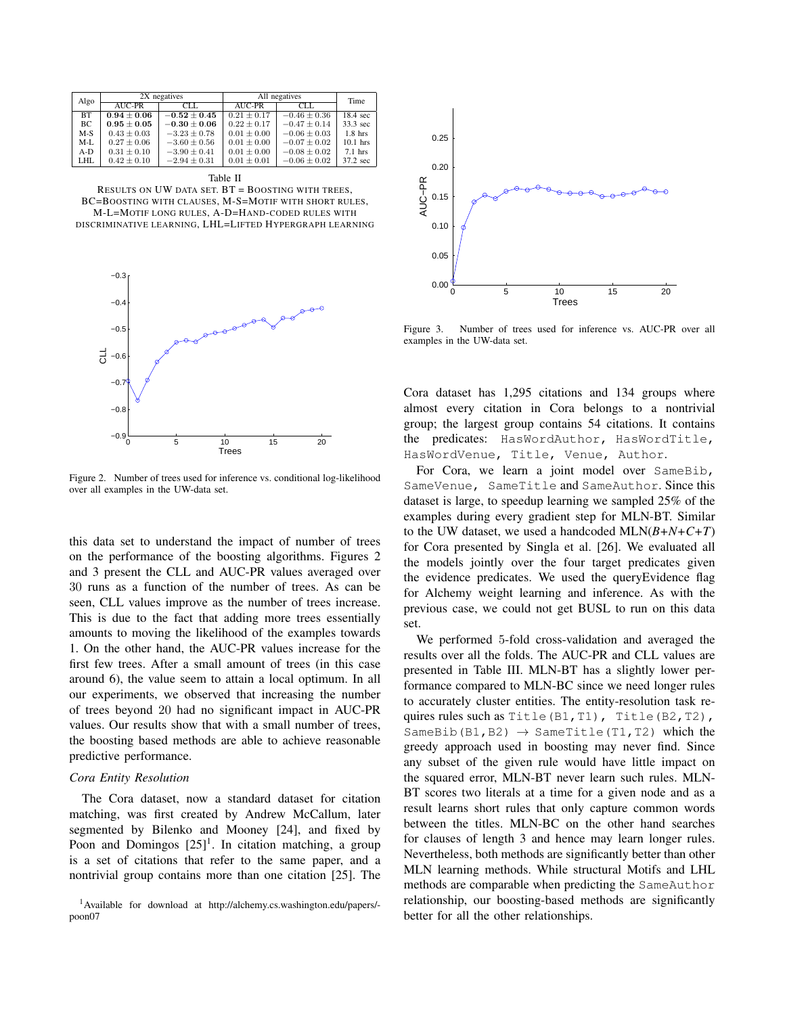| Algo      |                 | 2X negatives     | All negatives   | Time             |                       |
|-----------|-----------------|------------------|-----------------|------------------|-----------------------|
|           | AUC-PR          | CLL.             | AUC-PR          | CLL.             |                       |
| <b>BT</b> | $0.94 \pm 0.06$ | $-0.52 + 0.45$   | $0.21 + 0.17$   | $-0.46 + 0.36$   | $\overline{18.4}$ sec |
| BС        | $0.95 \pm 0.05$ | $-0.30 + 0.06$   | $0.22 + 0.17$   | $-0.47 + 0.14$   | 33.3 sec              |
| $M-S$     | $0.43 \pm 0.03$ | $-3.23 \pm 0.78$ | $0.01 \pm 0.00$ | $-0.06 \pm 0.03$ | $1.8$ hrs             |
| $M-L$     | $0.27 \pm 0.06$ | $-3.60 \pm 0.56$ | $0.01 \pm 0.00$ | $-0.07 \pm 0.02$ | $10.1$ hrs            |
| A-D       | $0.31 \pm 0.10$ | $-3.90 \pm 0.41$ | $0.01 \pm 0.00$ | $-0.08 \pm 0.02$ | $7.1$ hrs             |
| LHL       | $0.42 \pm 0.10$ | $-2.94 \pm 0.31$ | $0.01 \pm 0.01$ | $-0.06 \pm 0.02$ | 37.2 sec              |
|           |                 |                  |                 |                  |                       |

Table II RESULTS ON UW DATA SET. BT = BOOSTING WITH TREES, BC=BOOSTING WITH CLAUSES, M-S=MOTIF WITH SHORT RULES, M-L=MOTIF LONG RULES, A-D=HAND-CODED RULES WITH DISCRIMINATIVE LEARNING, LHL=LIFTED HYPERGRAPH LEARNING



Figure 2. Number of trees used for inference vs. conditional log-likelihood over all examples in the UW-data set.

this data set to understand the impact of number of trees on the performance of the boosting algorithms. Figures 2 and 3 present the CLL and AUC-PR values averaged over 30 runs as a function of the number of trees. As can be seen, CLL values improve as the number of trees increase. This is due to the fact that adding more trees essentially amounts to moving the likelihood of the examples towards 1. On the other hand, the AUC-PR values increase for the first few trees. After a small amount of trees (in this case around 6), the value seem to attain a local optimum. In all our experiments, we observed that increasing the number of trees beyond 20 had no significant impact in AUC-PR values. Our results show that with a small number of trees, the boosting based methods are able to achieve reasonable predictive performance.

#### *Cora Entity Resolution*

The Cora dataset, now a standard dataset for citation matching, was first created by Andrew McCallum, later segmented by Bilenko and Mooney [24], and fixed by Poon and Domingos  $[25]$ <sup>1</sup>. In citation matching, a group is a set of citations that refer to the same paper, and a nontrivial group contains more than one citation [25]. The



Figure 3. Number of trees used for inference vs. AUC-PR over all examples in the UW-data set.

Cora dataset has 1,295 citations and 134 groups where almost every citation in Cora belongs to a nontrivial group; the largest group contains 54 citations. It contains the predicates: HasWordAuthor, HasWordTitle, HasWordVenue, Title, Venue, Author.

For Cora, we learn a joint model over SameBib, SameVenue, SameTitle and SameAuthor. Since this dataset is large, to speedup learning we sampled 25% of the examples during every gradient step for MLN-BT. Similar to the UW dataset, we used a handcoded MLN(*B+N+C+T*) for Cora presented by Singla et al. [26]. We evaluated all the models jointly over the four target predicates given the evidence predicates. We used the queryEvidence flag for Alchemy weight learning and inference. As with the previous case, we could not get BUSL to run on this data set.

We performed 5-fold cross-validation and averaged the results over all the folds. The AUC-PR and CLL values are presented in Table III. MLN-BT has a slightly lower performance compared to MLN-BC since we need longer rules to accurately cluster entities. The entity-resolution task requires rules such as Title(B1,T1), Title(B2,T2), SameBib(B1, B2)  $\rightarrow$  SameTitle(T1, T2) which the greedy approach used in boosting may never find. Since any subset of the given rule would have little impact on the squared error, MLN-BT never learn such rules. MLN-BT scores two literals at a time for a given node and as a result learns short rules that only capture common words between the titles. MLN-BC on the other hand searches for clauses of length 3 and hence may learn longer rules. Nevertheless, both methods are significantly better than other MLN learning methods. While structural Motifs and LHL methods are comparable when predicting the SameAuthor relationship, our boosting-based methods are significantly better for all the other relationships.

<sup>1</sup>Available for download at http://alchemy.cs.washington.edu/papers/ poon07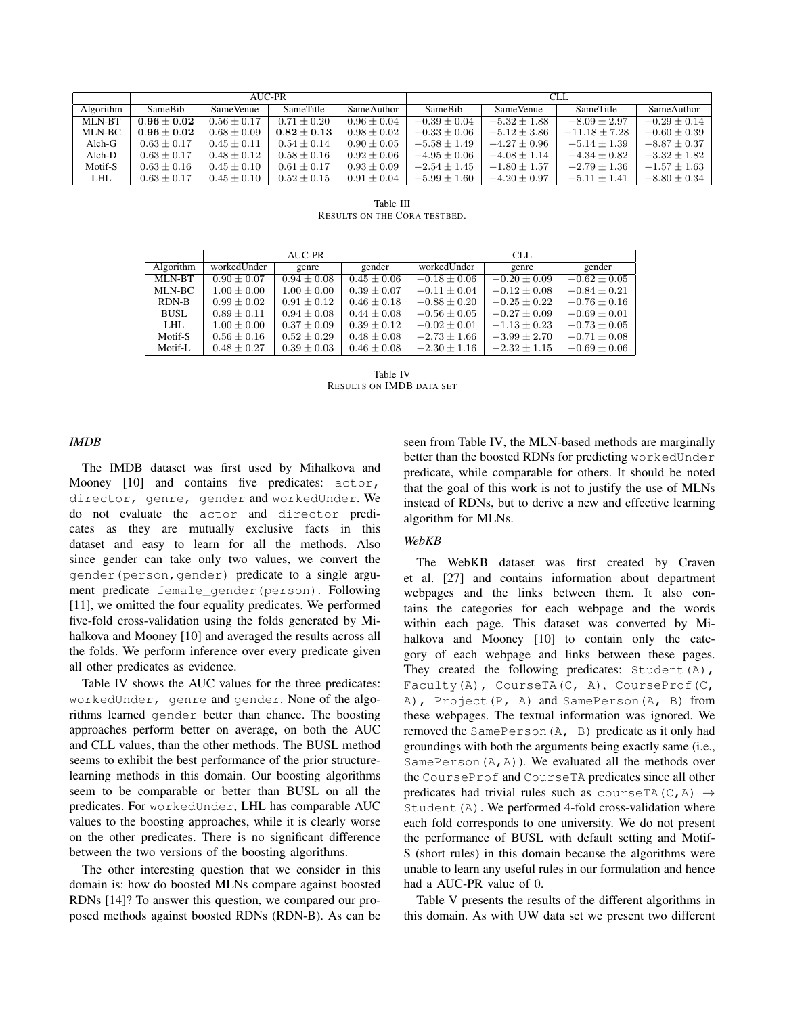|           | AUC-PR          |                  |                 |                   | <b>CLL</b>       |                  |                   |                  |
|-----------|-----------------|------------------|-----------------|-------------------|------------------|------------------|-------------------|------------------|
| Algorithm | SameBib         | <b>SameVenue</b> | SameTitle       | <b>SameAuthor</b> | <b>SameBib</b>   | <b>SameVenue</b> | <b>SameTitle</b>  | SameAuthor       |
| MLN-BT    | $0.96 + 0.02$   | $0.56 + 0.17$    | $0.71 + 0.20$   | $0.96 \pm 0.04$   | $-0.39 \pm 0.04$ | $-5.32 + 1.88$   | $-8.09 + 2.97$    | $-0.29 + 0.14$   |
| MLN-BC    | $0.96\pm0.02$   | $0.68 \pm 0.09$  | $0.82\pm0.13$   | $0.98 \pm 0.02$   | $-0.33 \pm 0.06$ | $-5.12 \pm 3.86$ | $-11.18 \pm 7.28$ | $-0.60 + 0.39$   |
| $Alch-G$  | $0.63 \pm 0.17$ | $0.45 + 0.11$    | $0.54 + 0.14$   | $0.90 \pm 0.05$   | $-5.58 \pm 1.49$ | $-4.27 + 0.96$   | $-5.14 + 1.39$    | $-8.87 + 0.37$   |
| Alch-D    | $0.63 \pm 0.17$ | $0.48 + 0.12$    | $0.58 \pm 0.16$ | $0.92 \pm 0.06$   | $-4.95 + 0.06$   | $-4.08 + 1.14$   | $-4.34 + 0.82$    | $-3.32 + 1.82$   |
| Motif-S   | $0.63 \pm 0.16$ | $0.45 \pm 0.10$  | $0.61 \pm 0.17$ | $0.93 \pm 0.09$   | $-2.54 \pm 1.45$ | $-1.80 \pm 1.57$ | $-2.79 \pm 1.36$  | $-1.57 + 1.63$   |
| LHL       | $0.63 \pm 0.17$ | $0.45 + 0.10$    | $0.52 + 0.15$   | $0.91 \pm 0.04$   | $-5.99 + 1.60$   | $-4.20 + 0.97$   | $-5.11 + 1.41$    | $-8.80 \pm 0.34$ |

Table III RESULTS ON THE CORA TESTBED.

|           |                 | AUC-PR          |                 | CLL.             |                  |                  |  |
|-----------|-----------------|-----------------|-----------------|------------------|------------------|------------------|--|
| Algorithm | workedUnder     | genre           | gender          | workedUnder      | genre            | gender           |  |
| MLN-BT    | $0.90 \pm 0.07$ | $0.94 \pm 0.08$ | $0.45 \pm 0.06$ | $-0.18 + 0.06$   | $-0.20 + 0.09$   | $-0.62 + 0.05$   |  |
| MLN-BC    | $1.00 \pm 0.00$ | $1.00 \pm 0.00$ | $0.39 + 0.07$   | $-0.11 \pm 0.04$ | $-0.12 \pm 0.08$ | $-0.84 + 0.21$   |  |
| RDN-B     | $0.99 + 0.02$   | $0.91 \pm 0.12$ | $0.46 \pm 0.18$ | $-0.88 + 0.20$   | $-0.25 + 0.22$   | $-0.76 + 0.16$   |  |
| BUSL      | $0.89 \pm 0.11$ | $0.94 + 0.08$   | $0.44 + 0.08$   | $-0.56 + 0.05$   | $-0.27 + 0.09$   | $-0.69 + 0.01$   |  |
| LHL.      | $1.00 + 0.00$   | $0.37 + 0.09$   | $0.39 + 0.12$   | $-0.02 + 0.01$   | $-1.13 + 0.23$   | $-0.73 + 0.05$   |  |
| Motif-S   | $0.56 \pm 0.16$ | $0.52 \pm 0.29$ | $0.48 \pm 0.08$ | $-2.73 \pm 1.66$ | $-3.99 \pm 2.70$ | $-0.71 \pm 0.08$ |  |
| Motif-L   | $0.48 \pm 0.27$ | $0.39 \pm 0.03$ | $0.46 \pm 0.08$ | $-2.30 + 1.16$   | $-2.32 + 1.15$   | $-0.69 \pm 0.06$ |  |

Table IV RESULTS ON IMDB DATA SET

## *IMDB*

The IMDB dataset was first used by Mihalkova and Mooney [10] and contains five predicates:  $actor,$ director, genre, gender and workedUnder. We do not evaluate the actor and director predicates as they are mutually exclusive facts in this dataset and easy to learn for all the methods. Also since gender can take only two values, we convert the gender(person,gender) predicate to a single argument predicate female\_gender(person). Following [11], we omitted the four equality predicates. We performed five-fold cross-validation using the folds generated by Mihalkova and Mooney [10] and averaged the results across all the folds. We perform inference over every predicate given all other predicates as evidence.

Table IV shows the AUC values for the three predicates: workedUnder, genre and gender. None of the algorithms learned gender better than chance. The boosting approaches perform better on average, on both the AUC and CLL values, than the other methods. The BUSL method seems to exhibit the best performance of the prior structurelearning methods in this domain. Our boosting algorithms seem to be comparable or better than BUSL on all the predicates. For workedUnder, LHL has comparable AUC values to the boosting approaches, while it is clearly worse on the other predicates. There is no significant difference between the two versions of the boosting algorithms.

The other interesting question that we consider in this domain is: how do boosted MLNs compare against boosted RDNs [14]? To answer this question, we compared our proposed methods against boosted RDNs (RDN-B). As can be seen from Table IV, the MLN-based methods are marginally better than the boosted RDNs for predicting workedUnder predicate, while comparable for others. It should be noted that the goal of this work is not to justify the use of MLNs instead of RDNs, but to derive a new and effective learning algorithm for MLNs.

# *WebKB*

The WebKB dataset was first created by Craven et al. [27] and contains information about department webpages and the links between them. It also contains the categories for each webpage and the words within each page. This dataset was converted by Mihalkova and Mooney [10] to contain only the category of each webpage and links between these pages. They created the following predicates: Student(A), Faculty(A), CourseTA(C, A), CourseProf(C, A), Project(P, A) and SamePerson(A, B) from these webpages. The textual information was ignored. We removed the SamePerson(A, B) predicate as it only had groundings with both the arguments being exactly same (i.e., SamePerson( $A$ , $A$ )). We evaluated all the methods over the CourseProf and CourseTA predicates since all other predicates had trivial rules such as courseTA(C,A)  $\rightarrow$ Student (A). We performed 4-fold cross-validation where each fold corresponds to one university. We do not present the performance of BUSL with default setting and Motif-S (short rules) in this domain because the algorithms were unable to learn any useful rules in our formulation and hence had a AUC-PR value of 0.

Table V presents the results of the different algorithms in this domain. As with UW data set we present two different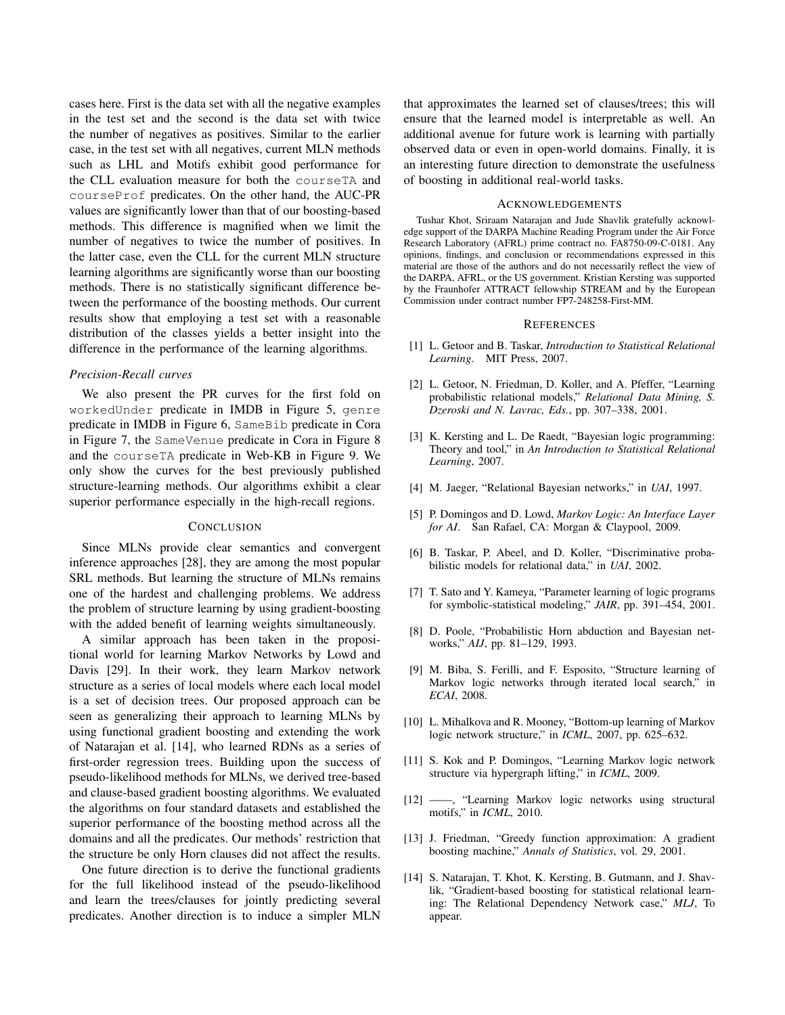cases here. First is the data set with all the negative examples in the test set and the second is the data set with twice the number of negatives as positives. Similar to the earlier case, in the test set with all negatives, current MLN methods such as LHL and Motifs exhibit good performance for the CLL evaluation measure for both the courseTA and courseProf predicates. On the other hand, the AUC-PR values are significantly lower than that of our boosting-based methods. This difference is magnified when we limit the number of negatives to twice the number of positives. In the latter case, even the CLL for the current MLN structure learning algorithms are significantly worse than our boosting methods. There is no statistically significant difference between the performance of the boosting methods. Our current results show that employing a test set with a reasonable distribution of the classes yields a better insight into the difference in the performance of the learning algorithms.

#### *Precision-Recall curves*

We also present the PR curves for the first fold on workedUnder predicate in IMDB in Figure 5, genre predicate in IMDB in Figure 6, SameBib predicate in Cora in Figure 7, the SameVenue predicate in Cora in Figure 8 and the courseTA predicate in Web-KB in Figure 9. We only show the curves for the best previously published structure-learning methods. Our algorithms exhibit a clear superior performance especially in the high-recall regions.

#### **CONCLUSION**

Since MLNs provide clear semantics and convergent inference approaches [28], they are among the most popular SRL methods. But learning the structure of MLNs remains one of the hardest and challenging problems. We address the problem of structure learning by using gradient-boosting with the added benefit of learning weights simultaneously.

A similar approach has been taken in the propositional world for learning Markov Networks by Lowd and Davis [29]. In their work, they learn Markov network structure as a series of local models where each local model is a set of decision trees. Our proposed approach can be seen as generalizing their approach to learning MLNs by using functional gradient boosting and extending the work of Natarajan et al. [14], who learned RDNs as a series of first-order regression trees. Building upon the success of pseudo-likelihood methods for MLNs, we derived tree-based and clause-based gradient boosting algorithms. We evaluated the algorithms on four standard datasets and established the superior performance of the boosting method across all the domains and all the predicates. Our methods' restriction that the structure be only Horn clauses did not affect the results.

One future direction is to derive the functional gradients for the full likelihood instead of the pseudo-likelihood and learn the trees/clauses for jointly predicting several predicates. Another direction is to induce a simpler MLN that approximates the learned set of clauses/trees; this will ensure that the learned model is interpretable as well. An additional avenue for future work is learning with partially observed data or even in open-world domains. Finally, it is an interesting future direction to demonstrate the usefulness of boosting in additional real-world tasks.

## ACKNOWLEDGEMENTS

Tushar Khot, Sriraam Natarajan and Jude Shavlik gratefully acknowledge support of the DARPA Machine Reading Program under the Air Force Research Laboratory (AFRL) prime contract no. FA8750-09-C-0181. Any opinions, findings, and conclusion or recommendations expressed in this material are those of the authors and do not necessarily reflect the view of the DARPA, AFRL, or the US government. Kristian Kersting was supported by the Fraunhofer ATTRACT fellowship STREAM and by the European Commission under contract number FP7-248258-First-MM.

#### **REFERENCES**

- [1] L. Getoor and B. Taskar, *Introduction to Statistical Relational Learning*. MIT Press, 2007.
- [2] L. Getoor, N. Friedman, D. Koller, and A. Pfeffer, "Learning" probabilistic relational models," *Relational Data Mining, S. Dzeroski and N. Lavrac, Eds.*, pp. 307–338, 2001.
- [3] K. Kersting and L. De Raedt, "Bayesian logic programming: Theory and tool," in *An Introduction to Statistical Relational Learning*, 2007.
- [4] M. Jaeger, "Relational Bayesian networks," in *UAI*, 1997.
- [5] P. Domingos and D. Lowd, *Markov Logic: An Interface Layer for AI*. San Rafael, CA: Morgan & Claypool, 2009.
- [6] B. Taskar, P. Abeel, and D. Koller, "Discriminative probabilistic models for relational data," in *UAI*, 2002.
- [7] T. Sato and Y. Kameya, "Parameter learning of logic programs for symbolic-statistical modeling," *JAIR*, pp. 391–454, 2001.
- [8] D. Poole, "Probabilistic Horn abduction and Bayesian networks," *AIJ*, pp. 81–129, 1993.
- [9] M. Biba, S. Ferilli, and F. Esposito, "Structure learning of Markov logic networks through iterated local search," in *ECAI*, 2008.
- [10] L. Mihalkova and R. Mooney, "Bottom-up learning of Markov logic network structure," in *ICML*, 2007, pp. 625–632.
- [11] S. Kok and P. Domingos, "Learning Markov logic network structure via hypergraph lifting," in *ICML*, 2009.
- [12] ——, "Learning Markov logic networks using structural motifs," in *ICML*, 2010.
- [13] J. Friedman, "Greedy function approximation: A gradient boosting machine," *Annals of Statistics*, vol. 29, 2001.
- [14] S. Natarajan, T. Khot, K. Kersting, B. Gutmann, and J. Shavlik, "Gradient-based boosting for statistical relational learning: The Relational Dependency Network case," *MLJ*, To appear.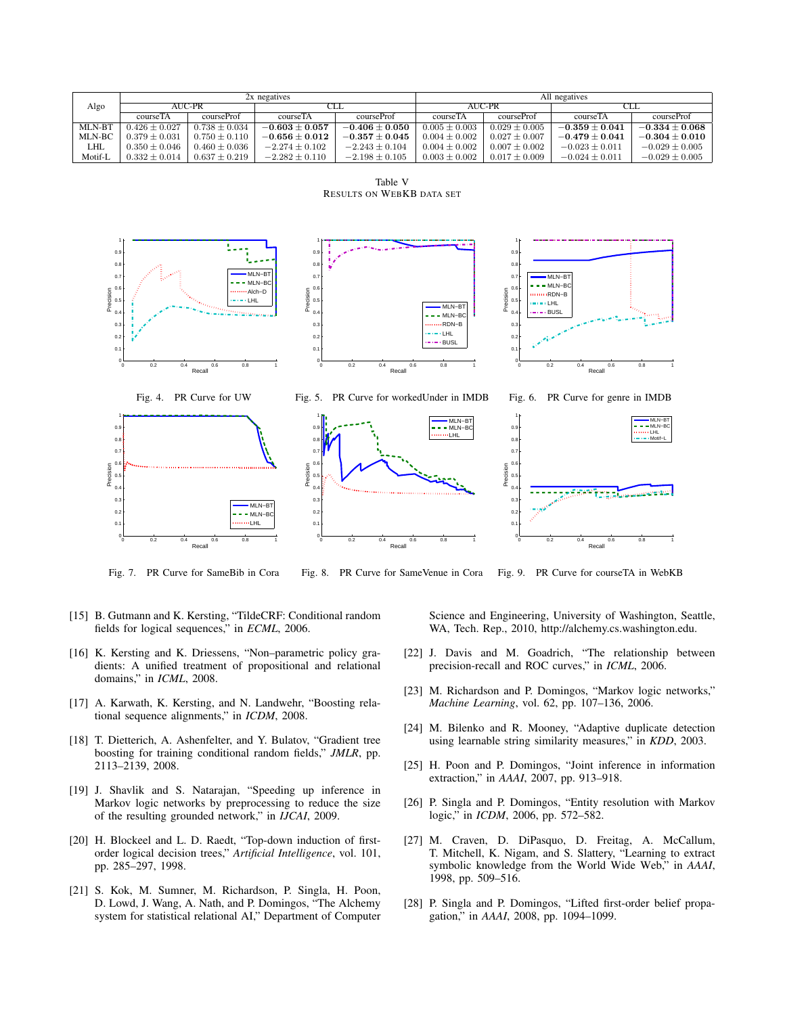|         | 2x negatives      |                   |                    |                    | All negatives     |                   |                    |                    |
|---------|-------------------|-------------------|--------------------|--------------------|-------------------|-------------------|--------------------|--------------------|
| Algo    | AUC-PR            |                   | <b>CLL</b>         |                    | AUC-PR            |                   | CLL                |                    |
|         | courseTA          | courseProf        | courseTA           | courseProf         | courseTA          | courseProf        | courseTA           | courseProf         |
| MLN-BT  | $0.426 \pm 0.027$ | $0.738 \pm 0.034$ | $-0.603 \pm 0.057$ | $-0.406 \pm 0.050$ | $0.005 \pm 0.003$ | $0.029 \pm 0.005$ | $-0.359 \pm 0.041$ | $-0.334 + 0.068$   |
| MLN-BC  | $0.379 \pm 0.031$ | $0.750 + 0.110$   | $-0.656 \pm 0.012$ | $-0.357\pm0.045$   | $0.004 \pm 0.002$ | $0.027 + 0.007$   | $-0.479 + 0.041$   | $-0.304 + 0.010$   |
| LHL     | $0.350 \pm 0.046$ | $0.460 + 0.036$   | $-2.274 \pm 0.102$ | $-2.243 \pm 0.104$ | $0.004 \pm 0.002$ | $0.007 \pm 0.002$ | $-0.023 \pm 0.011$ | $-0.029 + 0.005$   |
| Motif-L | $0.332 \pm 0.014$ | $0.637 \pm 0.219$ | $-2.282 \pm 0.110$ | $-2.198 \pm 0.105$ | $0.003 \pm 0.002$ | $0.017 \pm 0.009$ | $-0.024 \pm 0.011$ | $-0.029 \pm 0.005$ |

Table V RESULTS ON WEBKB DATA SET



Fig. 7. PR Curve for SameBib in Cora

Fig. 8. PR Curve for SameVenue in Cora Fig. 9. PR Curve for courseTA in WebKB

- [15] B. Gutmann and K. Kersting, "TildeCRF: Conditional random fields for logical sequences," in *ECML*, 2006.
- [16] K. Kersting and K. Driessens, "Non–parametric policy gradients: A unified treatment of propositional and relational domains," in *ICML*, 2008.
- [17] A. Karwath, K. Kersting, and N. Landwehr, "Boosting relational sequence alignments," in *ICDM*, 2008.
- [18] T. Dietterich, A. Ashenfelter, and Y. Bulatov, "Gradient tree boosting for training conditional random fields," *JMLR*, pp. 2113–2139, 2008.
- [19] J. Shavlik and S. Natarajan, "Speeding up inference in Markov logic networks by preprocessing to reduce the size of the resulting grounded network," in *IJCAI*, 2009.
- [20] H. Blockeel and L. D. Raedt, "Top-down induction of firstorder logical decision trees," *Artificial Intelligence*, vol. 101, pp. 285–297, 1998.
- [21] S. Kok, M. Sumner, M. Richardson, P. Singla, H. Poon, D. Lowd, J. Wang, A. Nath, and P. Domingos, "The Alchemy system for statistical relational AI," Department of Computer

Science and Engineering, University of Washington, Seattle, WA, Tech. Rep., 2010, http://alchemy.cs.washington.edu.

- [22] J. Davis and M. Goadrich, "The relationship between precision-recall and ROC curves," in *ICML*, 2006.
- [23] M. Richardson and P. Domingos, "Markov logic networks," *Machine Learning*, vol. 62, pp. 107–136, 2006.
- [24] M. Bilenko and R. Mooney, "Adaptive duplicate detection using learnable string similarity measures," in *KDD*, 2003.
- [25] H. Poon and P. Domingos, "Joint inference in information extraction," in *AAAI*, 2007, pp. 913–918.
- [26] P. Singla and P. Domingos, "Entity resolution with Markov logic," in *ICDM*, 2006, pp. 572–582.
- [27] M. Craven, D. DiPasquo, D. Freitag, A. McCallum, T. Mitchell, K. Nigam, and S. Slattery, "Learning to extract symbolic knowledge from the World Wide Web," in *AAAI*, 1998, pp. 509–516.
- [28] P. Singla and P. Domingos, "Lifted first-order belief propagation," in *AAAI*, 2008, pp. 1094–1099.